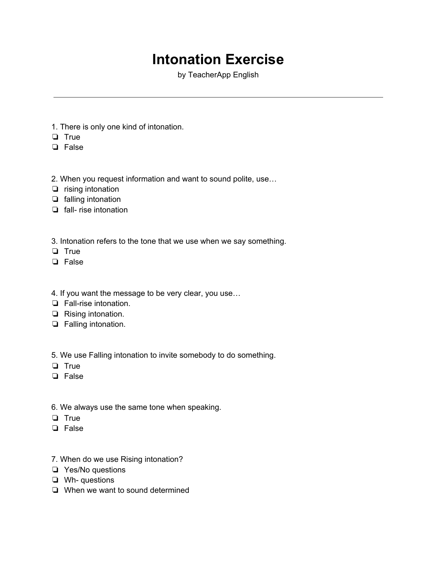## **Intonation Exercise**

by TeacherApp English

- 1. There is only one kind of intonation.
- ❏ True
- ❏ False
- 2. When you request information and want to sound polite, use…
- ❏ rising intonation
- ❏ falling intonation
- ❏ fall- rise intonation
- 3. Intonation refers to the tone that we use when we say something.
- ❏ True
- ❏ False
- 4. If you want the message to be very clear, you use…
- ❏ Fall-rise intonation.
- ❏ Rising intonation.
- ❏ Falling intonation.

5. We use Falling intonation to invite somebody to do something.

- ❏ True
- ❏ False
- 6. We always use the same tone when speaking.
- ❏ True
- ❏ False
- 7. When do we use Rising intonation?
- ❏ Yes/No questions
- ❏ Wh- questions
- ❏ When we want to sound determined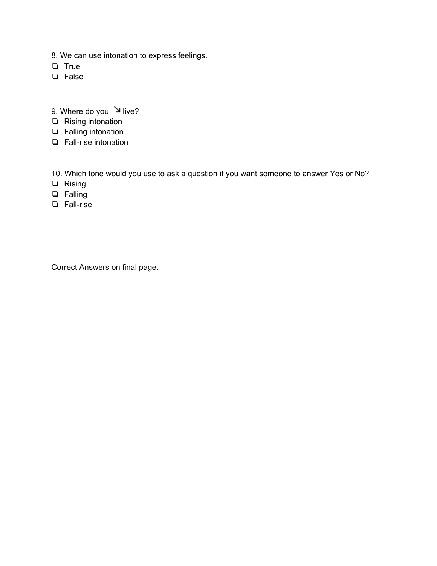- 8. We can use intonation to express feelings.
- ❏ True
- ❏ False
- 9. Where do you  $\searrow$  live?
- ❏ Rising intonation
- ❏ Falling intonation
- ❏ Fall-rise intonation

10. Which tone would you use to ask a question if you want someone to answer Yes or No?

- ❏ Rising
- ❏ Falling
- ❏ Fall-rise

Correct Answers on final page.